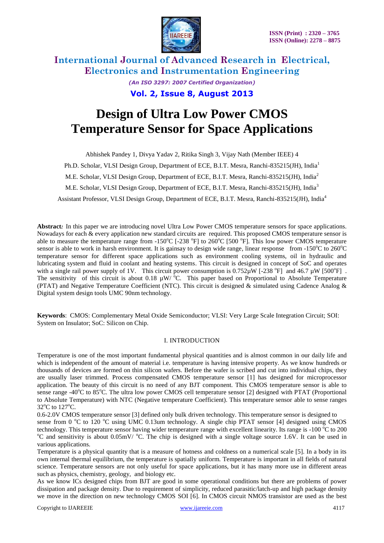

**International Journal of Advanced Research in Electrical, Electronics and Instrumentation Engineering** *(An ISO 3297: 2007 Certified Organization)* **Vol. 2, Issue 8, August 2013**

# **Design of Ultra Low Power CMOS Temperature Sensor for Space Applications**

Abhishek Pandey 1, Divya Yadav 2, Ritika Singh 3, Vijay Nath (Member IEEE) 4 Ph.D. Scholar, VLSI Design Group, Department of ECE, B.I.T. Mesra, Ranchi-835215(JH), India<sup>1</sup> M.E. Scholar, VLSI Design Group, Department of ECE, B.I.T. Mesra, Ranchi-835215(JH), India<sup>2</sup> M.E. Scholar, VLSI Design Group, Department of ECE, B.I.T. Mesra, Ranchi-835215(JH), India<sup>3</sup> Assistant Professor, VLSI Design Group, Department of ECE, B.I.T. Mesra, Ranchi-835215(JH), India<sup>4</sup>

**Abstract***:* In this paper we are introducing novel Ultra Low Power CMOS temperature sensors for space applications. Nowadays for each & every application new standard circuits are required. This proposed CMOS temperature sensor is able to measure the temperature range from -150°C [-238 °F] to 260°C [500 °F]. This low power CMOS temperature sensor is able to work in harsh environment. It is gainsay to design wide range, linear response from -150 $^{\circ}$ C to 260 $^{\circ}$ C temperature sensor for different space applications such as environment cooling systems, oil in hydraulic and lubricating system and fluid in coolant and heating systems. This circuit is designed in concept of SoC and operates with a single rail power supply of 1V. This circuit power consumption is  $0.752\mu$ W [-238 °F] and 46.7  $\mu$ W [500°F]. The sensitivity of this circuit is about 0.18  $\mu$ W/ $^{6}$ C. This paper based on Proportional to Absolute Temperature (PTAT) and Negative Temperature Coefficient (NTC). This circuit is designed & simulated using Cadence Analog & Digital system design tools UMC 90nm technology.

**Keywords**: CMOS: Complementary Metal Oxide Semiconductor; VLSI: Very Large Scale Integration Circuit; SOI: System on Insulator; SoC: Silicon on Chip.

#### I. INTRODUCTION

Temperature is one of the most important fundamental physical quantities and is almost common in our daily life and which is independent of the amount of material i.e. temperature is having intensive property. As we know hundreds or thousands of devices are formed on thin silicon wafers. Before the wafer is scribed and cut into individual chips, they are usually laser trimmed. Process compensated CMOS temperature sensor [1] has designed for microprocessor application. The beauty of this circuit is no need of any BJT component. This CMOS temperature sensor is able to sense range -40 $\degree$ C to 85 $\degree$ C. The ultra low power CMOS cell temperature sensor [2] designed with PTAT (Proportional to Absolute Temperature) with NTC (Negative temperature Coefficient). This temperature sensor able to sense ranges 32°C to 127°C.

0.6-2.0V CMOS temperature sensor [3] defined only bulk driven technology. This temperature sensor is designed to sense from 0  $^{\circ}$ C to 120  $^{\circ}$ C using UMC 0.13um technology. A single chip PTAT sensor [4] designed using CMOS technology. This temperature sensor having wider temperature range with excellent linearity. Its range is  $-100\degree C$  to 200  $\rm{^oC}$  and sensitivity is about 0.05mV/  $\rm{^oC}$ . The chip is designed with a single voltage source 1.6V. It can be used in various applications.

Temperature is a physical quantity that is a measure of hotness and coldness on a numerical scale [5]. In a body in its own internal thermal equilibrium, the temperature is spatially uniform. Temperature is important in all fields of natural science. Temperature sensors are not only useful for space applications, but it has many more use in different areas such as physics, chemistry, geology, and biology etc.

As we know ICs designed chips from BJT are good in some operational conditions but there are problems of power dissipation and package density. Due to requirement of simplicity, reduced parasitic/latch-up and high package density we move in the direction on new technology CMOS SOI [6]. In CMOS circuit NMOS transistor are used as the best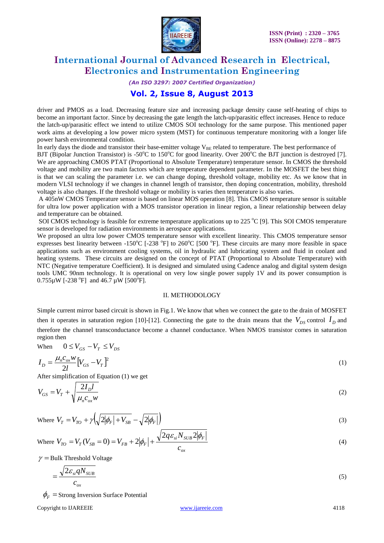

#### *(An ISO 3297: 2007 Certified Organization)*

### **Vol. 2, Issue 8, August 2013**

driver and PMOS as a load. Decreasing feature size and increasing package density cause self-heating of chips to become an important factor. Since by decreasing the gate length the latch-up/parasitic effect increases. Hence to reduce the latch-up/parasitic effect we intend to utilize CMOS SOI technology for the same purpose. This mentioned paper work aims at developing a low power micro system (MST) for continuous temperature monitoring with a longer life power harsh environmental condition.

In early days the diode and transistor their base-emitter voltage  $V_{BE}$  related to temperature. The best performance of

BJT (Bipolar Junction Transistor) is -50 $^{\circ}$ C to 150 $^{\circ}$ C for good linearity. Over 200 $^{\circ}$ C the BJT junction is destroyed [7]. We are approaching CMOS PTAT (Proportional to Absolute Temperature) temperature sensor. In CMOS the threshold voltage and mobility are two main factors which are temperature dependent parameter. In the MOSFET the best thing is that we can scaling the parameter i.e. we can change doping, threshold voltage, mobility etc. As we know that in modern VLSI technology if we changes in channel length of transistor, then doping concentration, mobility, threshold voltage is also changes. If the threshold voltage or mobility is varies then temperature is also varies.

A 405nW CMOS Temperature sensor is based on linear MOS operation [8]. This CMOS temperature sensor is suitable for ultra low power application with a MOS transistor operation in linear region, a linear relationship between delay and temperature can be obtained.

SOI CMOS technology is feasible for extreme temperature applications up to 225  $^{\circ}$ C [9]. This SOI CMOS temperature sensor is developed for radiation environments in aerospace applications.

We proposed an ultra low power CMOS temperature sensor with excellent linearity. This CMOS temperature sensor expresses best linearity between -150°C [-238 °F] to 260°C [500 °F]. These circuits are many more feasible in space applications such as environment cooling systems, oil in hydraulic and lubricating system and fluid in coolant and heating systems. These circuits are designed on the concept of PTAT (Proportional to Absolute Temperature) with NTC (Negative temperature Coefficient). It is designed and simulated using Cadence analog and digital system design tools UMC 90nm technology. It is operational on very low single power supply 1V and its power consumption is  $0.755 \mu W$  [-238 °F] and 46.7  $\mu W$  [500°F].

#### II. METHODOLOGY

Simple current mirror based circuit is shown in Fig.1. We know that when we connect the gate to the drain of MOSFET then it operates in saturation region [10]-[12]. Connecting the gate to the drain means that the  $V_{DS}$  control  $I_D$  and therefore the channel transconductance become a channel conductance. When NMOS transistor comes in saturation region then

When 
$$
0 \le V_{GS} - V_T \le V_{DS}
$$

$$
I_D = \frac{\mu_n c_{ox} w}{2l} \left[ V_{GS} - V_T \right]^2 \tag{1}
$$

After simplification of Equation (1) we get

$$
V_{GS} = V_T + \sqrt{\frac{2I_D l}{\mu_n c_{ox} w}}
$$
 (2)

Where 
$$
V_T = V_{TO} + \gamma \left( \sqrt{2|\phi_F| + V_{SB}} - \sqrt{2|\phi_F|} \right)
$$
 (3)

Where 
$$
V_{TO} = V_T (V_{SB} = 0) = V_{FB} + 2 |\phi_F| + \frac{\sqrt{2q \varepsilon_{si} N_{SUB} 2 |\phi_F|}}{c_{ox}}
$$
 (4)

 $\gamma$  = Bulk Threshold Voltage

$$
=\frac{\sqrt{2\varepsilon_{si}qN_{SUB}}}{c_{ox}}
$$
\n(5)

 $\phi_F$  = Strong Inversion Surface Potential

Copyright to IJAREEIE [www.ijareeie.com](http://www.ijareeie.com/) 4118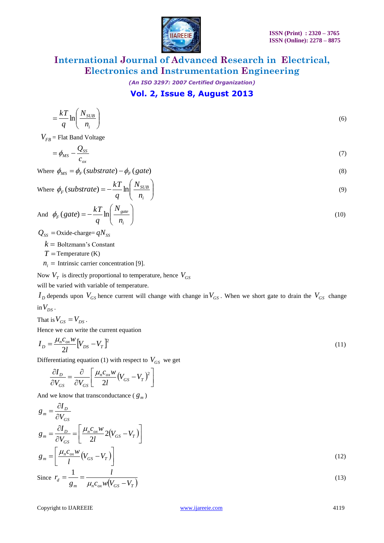

*(An ISO 3297: 2007 Certified Organization)*

### **Vol. 2, Issue 8, August 2013**

$$
=\frac{k}{q}\ln\left(\frac{N_{SUB}}{n_{i}}\right)
$$
\n(6)

 $V_{FB}$  = Flat Band Voltage

$$
=\phi_{MS} - \frac{Q_{SS}}{c_{ox}}\tag{7}
$$

Where 
$$
\phi_{MS} = \phi_F \left( \text{substrate} \right) - \phi_F \left( \text{gate} \right)
$$
 (8)

Where 
$$
\phi_F
$$
 (substrate) =  $-\frac{kT}{q} \ln \left( \frac{N_{SUB}}{n_i} \right)$  (9)

And 
$$
\phi_F(gate) = -\frac{kT}{q} \ln\left(\frac{N_{gate}}{n_i}\right)
$$
 (10)

 $Q_{SS}$  = Oxide-charge=  $qN_{SS}$ 

 $k =$  Boltzmann's Constant

 $T$  = Temperature (K)

 $n_i$  = Intrinsic carrier concentration [9].

Now  $V_T$  is directly proportional to temperature, hence  $V_{GS}$ 

will be varied with variable of temperature.

 $I_D$  depends upon  $V_{GS}$  hence current will change with change in  $V_{GS}$ . When we short gate to drain the  $V_{GS}$  change  $\sin V_{DS}$ .

That is  $V_{GS} = V_{DS}$ .

Hence we can write the current equation

$$
I_D = \frac{\mu_n c_{ox} w}{2l} \left[ V_{DS} - V_T \right]^2 \tag{11}
$$

Differentiating equation (1) with respect to  $V_{GS}$  we get

$$
\frac{\partial I_D}{\partial V_{GS}} = \frac{\partial}{\partial V_{GS}} \left[ \frac{\mu_n c_{ox} w}{2l} (V_{GS} - V_T)^2 \right]
$$

And we know that transconductance ( $g_m$ )

$$
g_m = \frac{\partial I_D}{\partial V_{GS}}
$$
  
\n
$$
g_m = \frac{\partial I_D}{\partial V_{GS}} = \left[ \frac{\mu_n c_{ox} w}{2l} 2(V_{GS} - V_T) \right]
$$
  
\n
$$
g_m = \left[ \frac{\mu_n c_{ox} w}{l} (V_{GS} - V_T) \right]
$$
  
\nSince  $r_d = \frac{1}{g_m} = \frac{l}{\mu_n c_{ox} w (V_{GS} - V_T)}$  (13)

Copyright to IJAREEIE [www.ijareeie.com](http://www.ijareeie.com/) 4119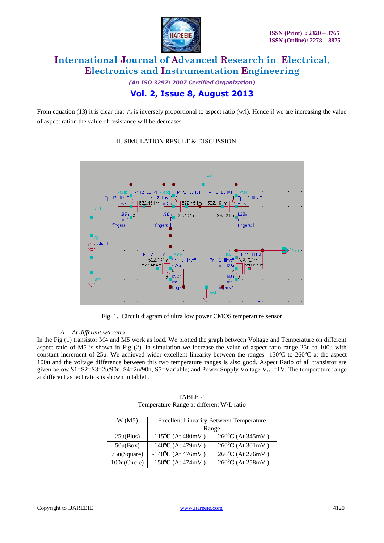

*(An ISO 3297: 2007 Certified Organization)* **Vol. 2, Issue 8, August 2013**

From equation (13) it is clear that  $r_d$  is inversely proportional to aspect ratio (w/l). Hence if we are increasing the value of aspect ration the value of resistance will be decreases.



#### III. SIMULATION RESULT & DISCUSSION

Fig. 1. Circuit diagram of ultra low power CMOS temperature sensor

#### *A. At different w/l ratio*

In the Fig (1) transistor M4 and M5 work as load. We plotted the graph between Voltage and Temperature on different aspect ratio of M5 is shown in Fig (2). In simulation we increase the value of aspect ratio range 25u to 100u with constant increment of 25u. We achieved wider excellent linearity between the ranges  $-150^{\circ}$ C to  $260^{\circ}$ C at the aspect 100u and the voltage difference between this two temperature ranges is also good. Aspect Ratio of all transistor are given below S1=S2=S3=2u/90n. S4=2u/90n, S5=Variable; and Power Supply Voltage V<sub>DD</sub>=1V. The temperature range at different aspect ratios is shown in table1.

| W(M5)        | <b>Excellent Linearity Between Temperature</b> |                                       |
|--------------|------------------------------------------------|---------------------------------------|
|              | Range                                          |                                       |
| 25u(Plus)    | $-115$ <sup>o</sup> C (At 480mV)               | $260^{\circ}$ C (At 345mV)            |
| 50u(Box)     | $-140$ <sup>o</sup> C (At 479mV)               | $260^{\circ}$ C (At $301 \text{mV}$ ) |
| 75u(Square)  | $-140$ <sup>o</sup> C (At 476mV)               | $260^{\circ}$ C (At 276mV)            |
| 100u(Circle) | $-150$ <sup>o</sup> C (At 474mV)               | 260°C (At 258mV)                      |

TABLE -1 Temperature Range at different W/L ratio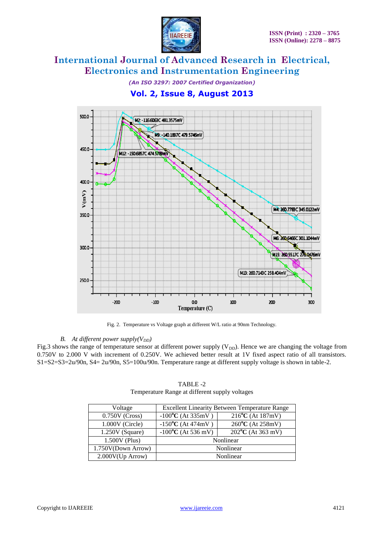

*(An ISO 3297: 2007 Certified Organization)* **Vol. 2, Issue 8, August 2013**



Fig. 2. Temperature vs Voltage graph at different W/L ratio at 90nm Technology.

#### *B. At different power supply(V<sub>DD</sub>)*

Fig.3 shows the range of temperature sensor at different power supply  $(V_{DD})$ . Hence we are changing the voltage from 0.750V to 2.000 V with increment of 0.250V. We achieved better result at 1V fixed aspect ratio of all transistors. S1=S2=S3=2u/90n, S4= 2u/90n, S5=100u/90n. Temperature range at different supply voltage is shown in table-2.

| Voltage             | <b>Excellent Linearity Between Temperature Range</b> |                                  |
|---------------------|------------------------------------------------------|----------------------------------|
| $0.750V$ (Cross)    | $-100$ <sup>o</sup> C (At 335mV)                     | $216^{\circ}C$ (At $187mV$ )     |
| 1.000V (Circle)     | $-150$ <sup>o</sup> C (At 474mV)                     | 260°C (At 258mV)                 |
| $1.250V$ (Square)   | $-100$ <sup>o</sup> C (At 536 mV)                    | $202$ <sup>o</sup> C (At 363 mV) |
| 1.500V (Plus)       |                                                      | Nonlinear                        |
| 1.750V(Down Arrow)  | Nonlinear                                            |                                  |
| $2.000V$ (Up Arrow) | Nonlinear                                            |                                  |

TABLE -2 Temperature Range at different supply voltages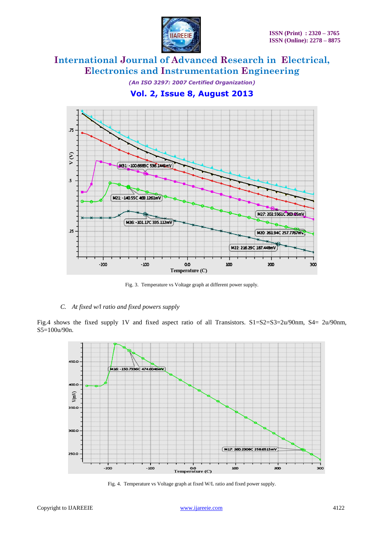

*(An ISO 3297: 2007 Certified Organization)*

**Vol. 2, Issue 8, August 2013**



Fig. 3. Temperature vs Voltage graph at different power supply.

#### *C. At fixed w/l ratio and fixed powers supply*

Fig.4 shows the fixed supply 1V and fixed aspect ratio of all Transistors. S1=S2=S3=2u/90nm, S4= 2u/90nm, S5=100u/90n.



Fig. 4. Temperature vs Voltage graph at fixed W/L ratio and fixed power supply.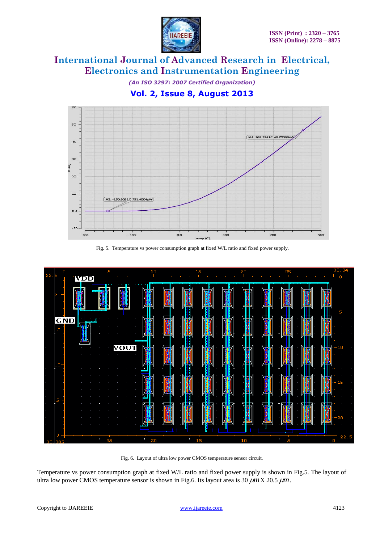

*(An ISO 3297: 2007 Certified Organization)*

**Vol. 2, Issue 8, August 2013**







Fig. 6. Layout of ultra low power CMOS temperature sensor circuit.

Temperature vs power consumption graph at fixed W/L ratio and fixed power supply is shown in Fig.5. The layout of ultra low power CMOS temperature sensor is shown in Fig.6. Its layout area is 30  $\mu$ mX 20.5  $\mu$ m.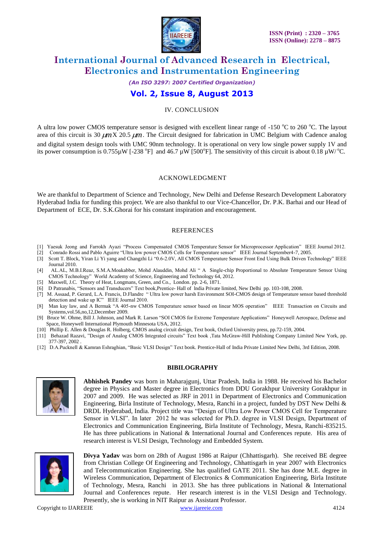

*(An ISO 3297: 2007 Certified Organization)* **Vol. 2, Issue 8, August 2013**

#### IV. CONCLUSION

A ultra low power CMOS temperature sensor is designed with excellent linear range of  $-150^{\circ}$ C to 260  $^{\circ}$ C. The layout area of this circuit is 30  $\mu$ mX 20.5  $\mu$ m. The Circuit designed for fabrication in UMC Belgium with Cadence analog and digital system design tools with UMC 90nm technology. It is operational on very low single power supply 1V and its power consumption is 0.755 $\mu$ W [-238 °F] and 46.7  $\mu$ W [500°F]. The sensitivity of this circuit is about 0.18  $\mu$ W/°C.

#### ACKNOWLEDGMENT

We are thankful to Department of Science and Technology, New Delhi and Defense Research Development Laboratory Hyderabad India for funding this project. We are also thankful to our Vice-Chancellor, Dr. P.K. Barhai and our Head of Department of ECE, Dr. S.K.Ghorai for his constant inspiration and encouragement.

#### **REFERENCES**

- [1] Yaesuk Jeong and Farrokh Ayazi "Process Compensated CMOS Temperature Sensor for Microprocessor Application" IEEE Journal 2012.
- [2] Conrado Rossi and Pablo Aguirre "Ultra low power CMOS Cells for Temperature sensor" IEEE Journal September4-7, 2005.
- [3] Scott T. Block, Yiran Li Yi yang and Changzhi Li "0.6-2.0V, All CMOS Temperature Sensor Front End Using Bulk Driven Technology" IEEE Journal 2010.
- [4] AL.AL, M.B.I.Reaz, S.M.A.Moakabber, Mohd Alauddin, Mohd Ali " A Single-chip Proportional to Absolute Temperature Sensor Using CMOS Technology" World Academy of Science, Engineering and Technology 64, 2012.
- [5] [Maxwell, J.C.](http://en.wikipedia.org/wiki/James_Clerk_Maxwell) Theory of Heat, Longmans, Green, and Co., London. pp. 2-6, 1871.
- [6] D Patranabis, "Sensors and Transducers" Text book,Prentice- Hall of lndia Private limited, New Delhi pp. 103-108, 2008.
- [7] M. Assaad, P. Gerard, L.A. Francis, D.Flandre " Ultra low power harsh Environment SOI-CMOS design of Temperature sensor based threshold detection and wake up IC" IEEE Journal 2010.
- [8] Man kay law, and A Bermak "A 405-nw CMOS Temperature sensor based on linear MOS operation" IEEE Transaction on Circuits and Systems,vol.56,no,12,December 2009.
- [9] Bruce W. Ohme, Bill J. Johnson, and Mark R. Larson "SOI CMOS for Extreme Temperature Applications" Honeywell Aerospace, Defense and Space, Honeywell International Plymouth Minnesota USA, 2012.
- [10] Phillip E. Allen & Douglas R. Holberg, CMOS analog circuit design, Text book, Oxford University press, pp.72-159, 2004.
- [11] Behazad Razavi, "Design of Analog CMOS Integrated circuits" Text book ,Tata McGraw-Hill Publishing Company Limited New York, pp. 377-397, 2002 .
- [12] D.A.Pucknell & Kamran Eshraghian, "Basic VLSI Design" Text book. Prentice-Hall of India Private Limited New Delhi, 3rd Edition, 2008.

#### **BIBILOGRAPHY**



**Abhishek Pandey** was born in Maharajgunj, Uttar Pradesh, India in 1988. He received his Bachelor degree in Physics and Master degree in Electronics from DDU Gorakhpur University Gorakhpur in 2007 and 2009. He was selected as JRF in 2011 in Department of Electronics and Communication Engineering, Birla Institute of Technology, Mesra, Ranchi in a project, funded by DST New Delhi & DRDL Hyderabad, India. Project title was "Design of Ultra Low Power CMOS Cell for Temperature Sensor in VLSI". In later 2012 he was selected for Ph.D. degree in VLSI Design, Department of Electronics and Communication Engineering, Birla Institute of Technology, Mesra, Ranchi-835215. He has three publications in National & International Journal and Conferences repute. His area of research interest is VLSI Design, Technology and Embedded System.



**Divya Yadav** was born on 28th of August 1986 at Raipur (Chhattisgarh). She received BE degree from Christian College Of Engineering and Technology, Chhattisgarh in year 2007 with Electronics and Telecommunication Engineering. She has qualified GATE 2011. She has done M.E. degree in Wireless Communication, Department of Electronics & Communication Engineering, Birla Institute of Technology, Mesra, Ranchi in 2013. She has three publications in National & International Journal and Conferences repute. Her research interest is in the VLSI Design and Technology. Presently, she is working in NIT Raipur as Assistant Professor.